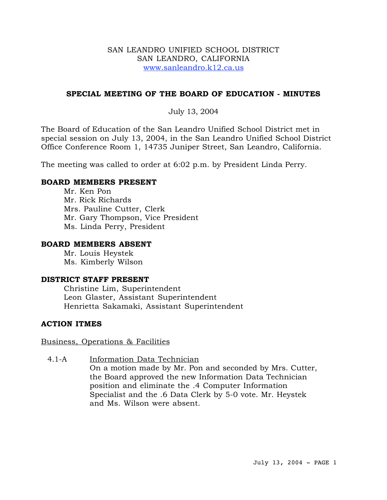## SAN LEANDRO UNIFIED SCHOOL DISTRICT SAN LEANDRO, CALIFORNIA www.sanleandro.k12.ca.us

# **SPECIAL MEETING OF THE BOARD OF EDUCATION - MINUTES**

# July 13, 2004

The Board of Education of the San Leandro Unified School District met in special session on July 13, 2004, in the San Leandro Unified School District Office Conference Room 1, 14735 Juniper Street, San Leandro, California.

The meeting was called to order at 6:02 p.m. by President Linda Perry.

## **BOARD MEMBERS PRESENT**

Mr. Ken Pon Mr. Rick Richards Mrs. Pauline Cutter, Clerk Mr. Gary Thompson, Vice President Ms. Linda Perry, President

### **BOARD MEMBERS ABSENT**

Mr. Louis Heystek Ms. Kimberly Wilson

### **DISTRICT STAFF PRESENT**

Christine Lim, Superintendent Leon Glaster, Assistant Superintendent Henrietta Sakamaki, Assistant Superintendent

# **ACTION ITMES**

### Business, Operations & Facilities

# 4.1-A Information Data Technician

On a motion made by Mr. Pon and seconded by Mrs. Cutter, the Board approved the new Information Data Technician position and eliminate the .4 Computer Information Specialist and the .6 Data Clerk by 5-0 vote. Mr. Heystek and Ms. Wilson were absent.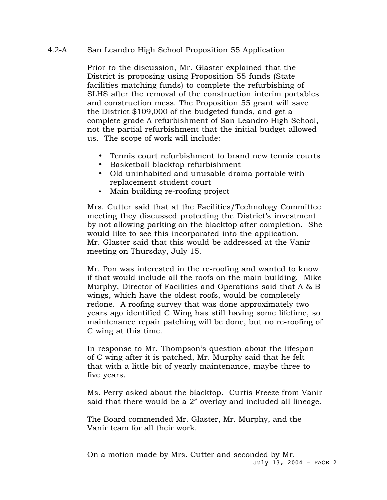## 4.2-A San Leandro High School Proposition 55 Application

Prior to the discussion, Mr. Glaster explained that the District is proposing using Proposition 55 funds (State facilities matching funds) to complete the refurbishing of SLHS after the removal of the construction interim portables and construction mess. The Proposition 55 grant will save the District \$109,000 of the budgeted funds, and get a complete grade A refurbishment of San Leandro High School, not the partial refurbishment that the initial budget allowed us. The scope of work will include:

- Tennis court refurbishment to brand new tennis courts
- Basketball blacktop refurbishment
- Old uninhabited and unusable drama portable with replacement student court
- Main building re-roofing project

Mrs. Cutter said that at the Facilities/Technology Committee meeting they discussed protecting the District's investment by not allowing parking on the blacktop after completion. She would like to see this incorporated into the application. Mr. Glaster said that this would be addressed at the Vanir meeting on Thursday, July 15.

Mr. Pon was interested in the re-roofing and wanted to know if that would include all the roofs on the main building. Mike Murphy, Director of Facilities and Operations said that A & B wings, which have the oldest roofs, would be completely redone. A roofing survey that was done approximately two years ago identified C Wing has still having some lifetime, so maintenance repair patching will be done, but no re-roofing of C wing at this time.

In response to Mr. Thompson's question about the lifespan of C wing after it is patched, Mr. Murphy said that he felt that with a little bit of yearly maintenance, maybe three to five years.

Ms. Perry asked about the blacktop. Curtis Freeze from Vanir said that there would be a 2" overlay and included all lineage.

The Board commended Mr. Glaster, Mr. Murphy, and the Vanir team for all their work.

July 13, 2004 - PAGE 2 On a motion made by Mrs. Cutter and seconded by Mr.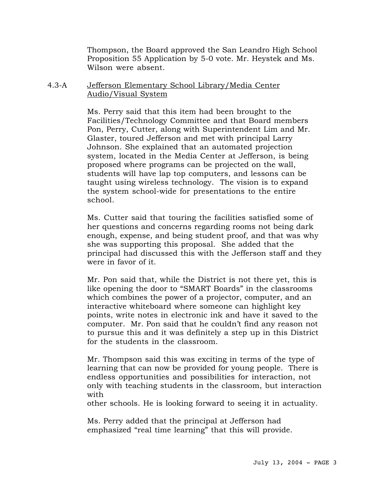Thompson, the Board approved the San Leandro High School Proposition 55 Application by 5-0 vote. Mr. Heystek and Ms. Wilson were absent.

4.3-A Jefferson Elementary School Library/Media Center Audio/Visual System

> Ms. Perry said that this item had been brought to the Facilities/Technology Committee and that Board members Pon, Perry, Cutter, along with Superintendent Lim and Mr. Glaster, toured Jefferson and met with principal Larry Johnson. She explained that an automated projection system, located in the Media Center at Jefferson, is being proposed where programs can be projected on the wall, students will have lap top computers, and lessons can be taught using wireless technology. The vision is to expand the system school-wide for presentations to the entire school.

Ms. Cutter said that touring the facilities satisfied some of her questions and concerns regarding rooms not being dark enough, expense, and being student proof, and that was why she was supporting this proposal. She added that the principal had discussed this with the Jefferson staff and they were in favor of it.

Mr. Pon said that, while the District is not there yet, this is like opening the door to "SMART Boards" in the classrooms which combines the power of a projector, computer, and an interactive whiteboard where someone can highlight key points, write notes in electronic ink and have it saved to the computer. Mr. Pon said that he couldn't find any reason not to pursue this and it was definitely a step up in this District for the students in the classroom.

Mr. Thompson said this was exciting in terms of the type of learning that can now be provided for young people. There is endless opportunities and possibilities for interaction, not only with teaching students in the classroom, but interaction with

other schools. He is looking forward to seeing it in actuality.

Ms. Perry added that the principal at Jefferson had emphasized "real time learning" that this will provide.